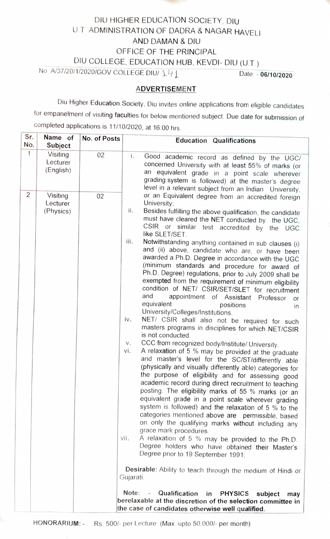

## DIU HIGHER EDUCATION SOCIETY, DIU U.T ADMINISTRATION OF DADRA & NAGAR HAVELI AND DAMAN & DIU OFFICE OF THE PRINCIPAL

DIU COLLEGE, EDUCATION HUB, KEVDI- DIU (U.T.)

No. A/37/20/1/2020/GOV COLLEGE DIU/ 141 Date: - 06/10/2020

## ADVERTISEMENT

Diu Higher Education Society, Diu invites online applications from eligible candidates for empanelment of visiting faculties for below mentioned subject. Due date for submission of completed applications is 11/10/2020, at 16:00 hrs.

| Sr.            | Name of                           | No. of Posts | <b>Education Qualifications</b>                                                                                                                                                                                                                                                                                                                                                                                                                                                                                                                                                                                                                                                                                                                                                                                                                                                                                                                                                                                                                                                                                                                                                                                                                                                                                                                                                                                                                                                                                                                                                                                                                                                                                                                                                                                                                                                                                                                                   |  |  |
|----------------|-----------------------------------|--------------|-------------------------------------------------------------------------------------------------------------------------------------------------------------------------------------------------------------------------------------------------------------------------------------------------------------------------------------------------------------------------------------------------------------------------------------------------------------------------------------------------------------------------------------------------------------------------------------------------------------------------------------------------------------------------------------------------------------------------------------------------------------------------------------------------------------------------------------------------------------------------------------------------------------------------------------------------------------------------------------------------------------------------------------------------------------------------------------------------------------------------------------------------------------------------------------------------------------------------------------------------------------------------------------------------------------------------------------------------------------------------------------------------------------------------------------------------------------------------------------------------------------------------------------------------------------------------------------------------------------------------------------------------------------------------------------------------------------------------------------------------------------------------------------------------------------------------------------------------------------------------------------------------------------------------------------------------------------------|--|--|
| No.            | Subject                           |              |                                                                                                                                                                                                                                                                                                                                                                                                                                                                                                                                                                                                                                                                                                                                                                                                                                                                                                                                                                                                                                                                                                                                                                                                                                                                                                                                                                                                                                                                                                                                                                                                                                                                                                                                                                                                                                                                                                                                                                   |  |  |
| $\mathbf 1$    | Visiting<br>Lecturer<br>(English) | 02           | i.<br>Good academic record as defined by the UGC/<br>concerned University with at least 55% of marks (or<br>an equivalent grade in a point scale wherever<br>grading system is followed) at the master's degree<br>level in a relevant subject from an Indian University,                                                                                                                                                                                                                                                                                                                                                                                                                                                                                                                                                                                                                                                                                                                                                                                                                                                                                                                                                                                                                                                                                                                                                                                                                                                                                                                                                                                                                                                                                                                                                                                                                                                                                         |  |  |
| $\overline{2}$ | Visiting<br>Lecturer<br>(Physics) | 02           | or an Equivalent degree from an accredited foreign<br>University;<br>ii.<br>Besides fulfilling the above qualification, the candidate<br>must have cleared the NET conducted by the UGC,<br>CSIR or similar test accredited by the UGC<br>like SLET/SET.<br>iii.<br>Notwithstanding anything contained in sub clauses (i)<br>and (ii) above, candidate who are, or have been<br>awarded a Ph.D. Degree in accordance with the UGC<br>(minimum standards and procedure for award of<br>Ph.D. Degree) regulations, prior to July 2009 shall be<br>exempted from the requirement of minimum eligibility<br>condition of NET/ CSIR/SET/SLET for recruitment<br>and<br>appointment of Assistant Professor<br>or<br>equivalent<br>positions<br>in<br>University/Colleges/Institutions.<br>iv.<br>NET/ CSIR shall also not be required for such<br>masters programs in disciplines for which NET/CSIR<br>is not conducted.<br>CCC from recognized body/Institute/ University.<br>V.<br>vi.<br>A relaxation of 5 % may be provided at the graduate<br>and master's level for the SC/ST/differently able<br>(physically and visually differently able) categories for<br>the purpose of eligibility and for assessing good<br>academic record during direct recruitment to teaching<br>posting. The eligibility marks of 55 % marks (or an<br>equivalent grade in a point scale wherever grading<br>system is followed) and the relaxation of 5 % to the<br>categories mentioned above are permissible, based<br>on only the qualifying marks without including any<br>grace mark procedures.<br>A relaxation of 5 % may be provided to the Ph.D.<br>vii.<br>Degree holders who have obtained their Master's<br>Degree prior to 19 September 1991;<br>Desirable: Ability to teach through the medium of Hindi or<br>Gujarati.<br>Note:<br>Qualification<br>$\sim$<br><b>PHYSICS</b><br>in<br>subject<br>may<br>berelaxable at the discretion of the selection committee in |  |  |
|                |                                   |              | the case of candidates otherwise well qualified.                                                                                                                                                                                                                                                                                                                                                                                                                                                                                                                                                                                                                                                                                                                                                                                                                                                                                                                                                                                                                                                                                                                                                                                                                                                                                                                                                                                                                                                                                                                                                                                                                                                                                                                                                                                                                                                                                                                  |  |  |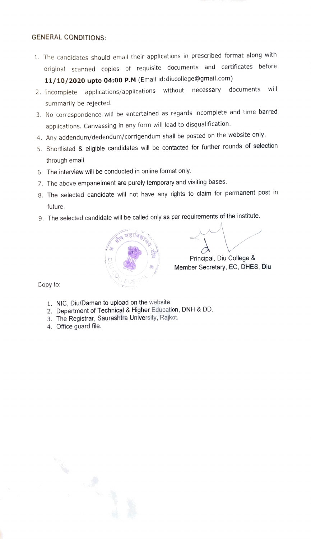## GENERAL CONDITIONS:

- 1. The candidates should email their applications in prescribed format along with original scanned copies of requisite documents and certificates before 11/10/2020 upto 04:00 P.M (Email id:diucollege@gmail.com)
- 2. Incomplete applications/applications without necessary documents will summarily be rejected.
- 3. No correspondence will be entertained as regards incomplete and time barred applications. Canvassing in any form will lead to disqualification.
- 4. Any addendum/dedendum/corrigendum shall be posted on the website only.
- 5. Shortlisted & eligible candidates will be contacted for further rounds of selection through email.
- 6. The interview will be conducted in online format only.
- 7. The above empanelment are purely temporary and visiting bases.
- 8. The selected candidate will not have any rights to claim for permanent post in future.
- 9. The selected candidate will be called only as per requirements of the institute.



Principal, Diu College & Member Secretary, EC, DHES, Diu

Copy to:

- 1. NIC, Diu/Daman to upload on the website.
- 2. Department of Technical & Higher Education, DNH & DD.
- 3. The Registrar, Saurashtra University, Rajkot.
- 4. Office guard file.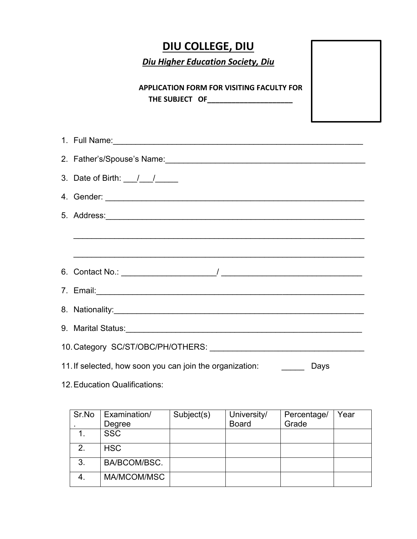## **DIU COLLEGE, DIU**

*Diu Higher Education Society, Diu* 

**APPLICATION FORM FOR VISITING FACULTY FOR THE SUBJECT OF\_\_\_\_\_\_\_\_\_\_\_\_\_\_\_\_\_\_\_\_\_** 

| 1. Full Name: 2008. 2009. 2009. 2010. 2010. 2010. 2010. 2010. 2010. 2010. 2010. 2010. 2010. 2010. 2010. 2010. 2010. 2010. 2010. 2010. 2010. 2010. 2010. 2010. 2010. 2010. 2010. 2010. 2010. 2010. 2010. 2010. 2010. 2010. 2010 |  |  |  |  |
|--------------------------------------------------------------------------------------------------------------------------------------------------------------------------------------------------------------------------------|--|--|--|--|
|                                                                                                                                                                                                                                |  |  |  |  |
| 3. Date of Birth: $\frac{1}{2}$ / $\frac{1}{2}$                                                                                                                                                                                |  |  |  |  |
|                                                                                                                                                                                                                                |  |  |  |  |
|                                                                                                                                                                                                                                |  |  |  |  |
|                                                                                                                                                                                                                                |  |  |  |  |
|                                                                                                                                                                                                                                |  |  |  |  |
|                                                                                                                                                                                                                                |  |  |  |  |
| 7. Email: 2008. 2009. 2009. 2010. 2010. 2010. 2010. 2010. 2010. 2010. 2010. 2010. 2010. 2010. 2010. 2010. 2010                                                                                                                 |  |  |  |  |
|                                                                                                                                                                                                                                |  |  |  |  |
|                                                                                                                                                                                                                                |  |  |  |  |
|                                                                                                                                                                                                                                |  |  |  |  |
| 11. If selected, how soon you can join the organization: _________ Days                                                                                                                                                        |  |  |  |  |

12. Education Qualifications:

| Sr.No | Examination/ | Subject(s) | University/  | Percentage/ | Year |
|-------|--------------|------------|--------------|-------------|------|
|       | Degree       |            | <b>Board</b> | Grade       |      |
|       | <b>SSC</b>   |            |              |             |      |
| 2.    | <b>HSC</b>   |            |              |             |      |
| 3.    | BA/BCOM/BSC. |            |              |             |      |
|       | MA/MCOM/MSC  |            |              |             |      |